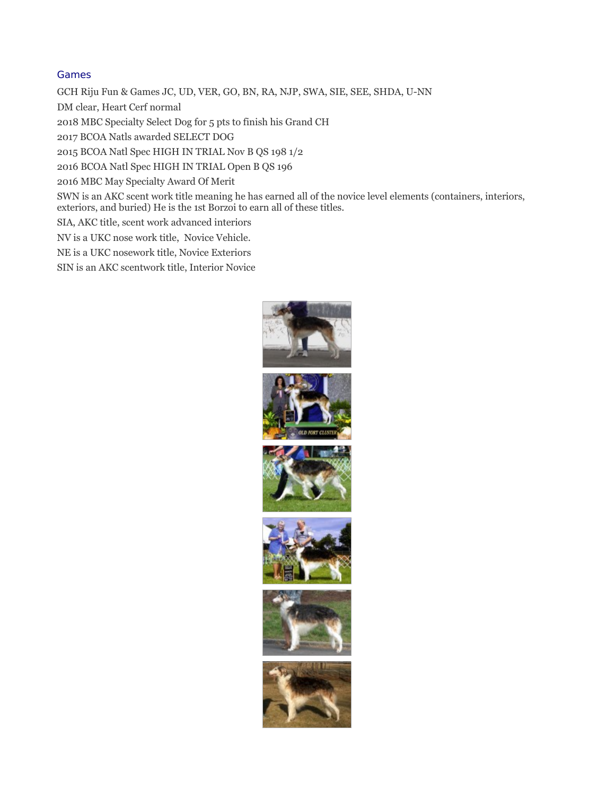## Games

GCH Riju Fun & Games JC, UD, VER, GO, BN, RA, NJP, SWA, SIE, SEE, SHDA, U-NN

DM clear, Heart Cerf normal

2018 MBC Specialty Select Dog for 5 pts to finish his Grand CH

2017 BCOA Natls awarded SELECT DOG

2015 BCOA Natl Spec HIGH IN TRIAL Nov B QS 198 1/2

2016 BCOA Natl Spec HIGH IN TRIAL Open B QS 196

2016 MBC May Specialty Award Of Merit

SWN is an AKC scent work title meaning he has earned all of the novice level elements (containers, interiors, exteriors, and buried) He is the 1st Borzoi to earn all of these titles.

SIA, AKC title, scent work advanced interiors

NV is a UKC nose work title, Novice Vehicle.

NE is a UKC nosework title, Novice Exteriors

SIN is an AKC scentwork title, Interior Novice